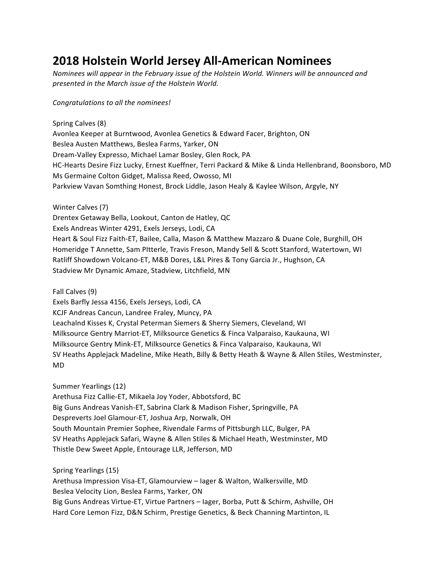# **2018 Holstein World Jersey All-American Nominees**

*Nominees will appear in the February issue of the Holstein World. Winners will be announced and* presented in the March issue of the Holstein World.

## *Congratulations to all the nominees!*

Spring Calves (8) Avonlea Keeper at Burntwood, Avonlea Genetics & Edward Facer, Brighton, ON Beslea Austen Matthews, Beslea Farms, Yarker, ON Dream-Valley Expresso, Michael Lamar Bosley, Glen Rock, PA HC-Hearts Desire Fizz Lucky, Ernest Kueffner, Terri Packard & Mike & Linda Hellenbrand, Boonsboro, MD Ms Germaine Colton Gidget, Malissa Reed, Owosso, MI Parkview Vavan Somthing Honest, Brock Liddle, Jason Healy & Kaylee Wilson, Argyle, NY

Winter Calves (7)

Drentex Getaway Bella, Lookout, Canton de Hatley, QC

Exels Andreas Winter 4291, Exels Jerseys, Lodi, CA

Heart & Soul Fizz Faith-ET, Bailee, Calla, Mason & Matthew Mazzaro & Duane Cole, Burghill, OH Homeridge T Annette, Sam Pitterle, Travis Freson, Mandy Sell & Scott Stanford, Watertown, WI Ratliff Showdown Volcano-ET, M&B Dores, L&L Pires & Tony Garcia Jr., Hughson, CA Stadview Mr Dynamic Amaze, Stadview, Litchfield, MN

Fall Calves (9)

Exels Barfly Jessa 4156, Exels Jerseys, Lodi, CA KCJF Andreas Cancun, Landree Fraley, Muncy, PA Leachalnd Kisses K, Crystal Peterman Siemers & Sherry Siemers, Cleveland, WI Milksource Gentry Marriot-ET, Milksource Genetics & Finca Valparaiso, Kaukauna, WI Milksource Gentry Mink-ET, Milksource Genetics & Finca Valparaiso, Kaukauna, WI SV Heaths Applejack Madeline, Mike Heath, Billy & Betty Heath & Wayne & Allen Stiles, Westminster, MD

Summer Yearlings (12) Arethusa Fizz Callie-ET, Mikaela Joy Yoder, Abbotsford, BC Big Guns Andreas Vanish-ET, Sabrina Clark & Madison Fisher, Springville, PA Despreverts Joel Glamour-ET, Joshua Arp, Norwalk, OH South Mountain Premier Sophee, Rivendale Farms of Pittsburgh LLC, Bulger, PA SV Heaths Applejack Safari, Wayne & Allen Stiles & Michael Heath, Westminster, MD Thistle Dew Sweet Apple, Entourage LLR, Jefferson, MD

Spring Yearlings (15)

Arethusa Impression Visa-ET, Glamourview - lager & Walton, Walkersville, MD Beslea Velocity Lion, Beslea Farms, Yarker, ON Big Guns Andreas Virtue-ET, Virtue Partners - lager, Borba, Putt & Schirm, Ashville, OH Hard Core Lemon Fizz, D&N Schirm, Prestige Genetics, & Beck Channing Martinton, IL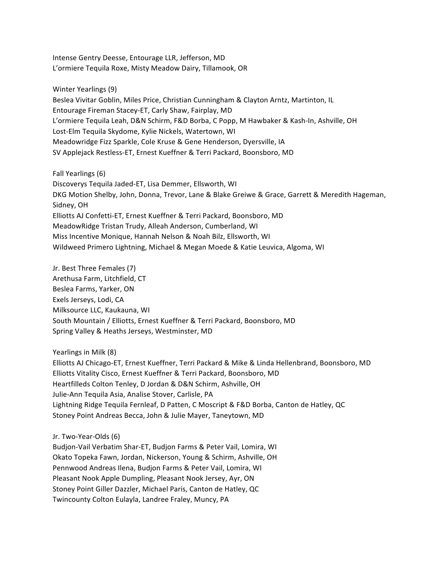Intense Gentry Deesse, Entourage LLR, Jefferson, MD L'ormiere Tequila Roxe, Misty Meadow Dairy, Tillamook, OR

Winter Yearlings (9) Beslea Vivitar Goblin, Miles Price, Christian Cunningham & Clayton Arntz, Martinton, IL Entourage Fireman Stacey-ET, Carly Shaw, Fairplay, MD L'ormiere Tequila Leah, D&N Schirm, F&D Borba, C Popp, M Hawbaker & Kash-In, Ashville, OH Lost-Elm Tequila Skydome, Kylie Nickels, Watertown, WI Meadowridge Fizz Sparkle, Cole Kruse & Gene Henderson, Dyersville, IA SV Applejack Restless-ET, Ernest Kueffner & Terri Packard, Boonsboro, MD

Fall Yearlings (6) Discoverys Tequila Jaded-ET, Lisa Demmer, Ellsworth, WI DKG Motion Shelby, John, Donna, Trevor, Lane & Blake Greiwe & Grace, Garrett & Meredith Hageman, Sidney, OH Elliotts AJ Confetti-ET, Ernest Kueffner & Terri Packard, Boonsboro, MD MeadowRidge Tristan Trudy, Alleah Anderson, Cumberland, WI Miss Incentive Monique, Hannah Nelson & Noah Bilz, Ellsworth, WI Wildweed Primero Lightning, Michael & Megan Moede & Katie Leuvica, Algoma, WI

Jr. Best Three Females (7) Arethusa Farm, Litchfield, CT Beslea Farms, Yarker, ON Exels Jerseys, Lodi, CA Milksource LLC, Kaukauna, WI South Mountain / Elliotts, Ernest Kueffner & Terri Packard, Boonsboro, MD Spring Valley & Heaths Jerseys, Westminster, MD

Yearlings in Milk (8)

Elliotts AJ Chicago-ET, Ernest Kueffner, Terri Packard & Mike & Linda Hellenbrand, Boonsboro, MD Elliotts Vitality Cisco, Ernest Kueffner & Terri Packard, Boonsboro, MD Heartfilleds Colton Tenley, D Jordan & D&N Schirm, Ashville, OH Julie-Ann Tequila Asia, Analise Stover, Carlisle, PA Lightning Ridge Tequila Fernleaf, D Patten, C Moscript & F&D Borba, Canton de Hatley, QC Stoney Point Andreas Becca, John & Julie Mayer, Taneytown, MD

Jr. Two-Year-Olds (6)

Budjon-Vail Verbatim Shar-ET, Budjon Farms & Peter Vail, Lomira, WI Okato Topeka Fawn, Jordan, Nickerson, Young & Schirm, Ashville, OH Pennwood Andreas Ilena, Budjon Farms & Peter Vail, Lomira, WI Pleasant Nook Apple Dumpling, Pleasant Nook Jersey, Ayr, ON Stoney Point Giller Dazzler, Michael Paris, Canton de Hatley, QC Twincounty Colton Eulayla, Landree Fraley, Muncy, PA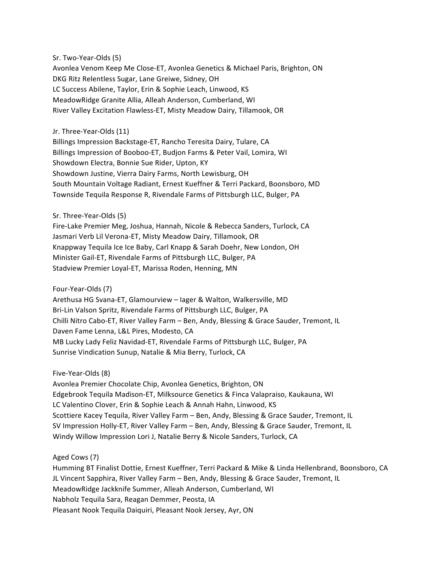## Sr. Two-Year-Olds (5)

Avonlea Venom Keep Me Close-ET, Avonlea Genetics & Michael Paris, Brighton, ON DKG Ritz Relentless Sugar, Lane Greiwe, Sidney, OH LC Success Abilene, Taylor, Erin & Sophie Leach, Linwood, KS MeadowRidge Granite Allia, Alleah Anderson, Cumberland, WI River Valley Excitation Flawless-ET, Misty Meadow Dairy, Tillamook, OR

#### Jr. Three-Year-Olds (11)

Billings Impression Backstage-ET, Rancho Teresita Dairy, Tulare, CA Billings Impression of Booboo-ET, Budjon Farms & Peter Vail, Lomira, WI Showdown Electra, Bonnie Sue Rider, Upton, KY Showdown Justine, Vierra Dairy Farms, North Lewisburg, OH South Mountain Voltage Radiant, Ernest Kueffner & Terri Packard, Boonsboro, MD Townside Tequila Response R, Rivendale Farms of Pittsburgh LLC, Bulger, PA

#### Sr. Three-Year-Olds (5)

Fire-Lake Premier Meg, Joshua, Hannah, Nicole & Rebecca Sanders, Turlock, CA Jasmari Verb Lil Verona-ET, Misty Meadow Dairy, Tillamook, OR Knappway Tequila Ice Ice Baby, Carl Knapp & Sarah Doehr, New London, OH Minister Gail-ET, Rivendale Farms of Pittsburgh LLC, Bulger, PA Stadview Premier Loyal-ET, Marissa Roden, Henning, MN

## Four-Year-Olds (7)

Arethusa HG Svana-ET, Glamourview - lager & Walton, Walkersville, MD Bri-Lin Valson Spritz, Rivendale Farms of Pittsburgh LLC, Bulger, PA Chilli Nitro Cabo-ET, River Valley Farm - Ben, Andy, Blessing & Grace Sauder, Tremont, IL Daven Fame Lenna, L&L Pires, Modesto, CA MB Lucky Lady Feliz Navidad-ET, Rivendale Farms of Pittsburgh LLC, Bulger, PA Sunrise Vindication Sunup, Natalie & Mia Berry, Turlock, CA

# Five-Year-Olds (8)

Avonlea Premier Chocolate Chip, Avonlea Genetics, Brighton, ON Edgebrook Tequila Madison-ET, Milksource Genetics & Finca Valapraiso, Kaukauna, WI LC Valentino Clover, Erin & Sophie Leach & Annah Hahn, Linwood, KS Scottiere Kacey Tequila, River Valley Farm - Ben, Andy, Blessing & Grace Sauder, Tremont, IL SV Impression Holly-ET, River Valley Farm - Ben, Andy, Blessing & Grace Sauder, Tremont, IL Windy Willow Impression Lori J, Natalie Berry & Nicole Sanders, Turlock, CA

# Aged Cows (7)

Humming BT Finalist Dottie, Ernest Kueffner, Terri Packard & Mike & Linda Hellenbrand, Boonsboro, CA JL Vincent Sapphira, River Valley Farm - Ben, Andy, Blessing & Grace Sauder, Tremont, IL MeadowRidge Jackknife Summer, Alleah Anderson, Cumberland, WI Nabholz Tequila Sara, Reagan Demmer, Peosta, IA Pleasant Nook Tequila Daiquiri, Pleasant Nook Jersey, Ayr, ON